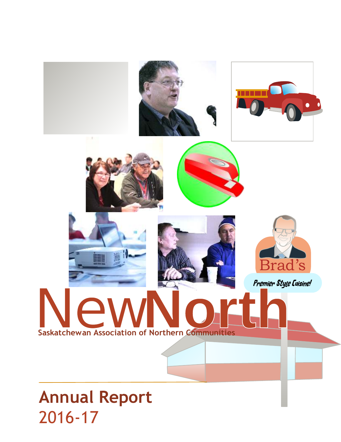

# 2016-17 **Annual Report**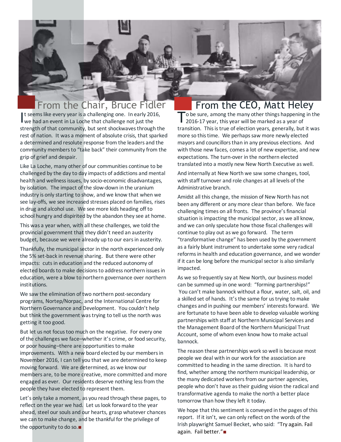### From the Chair, Bruce Fidler From the CEO, Matt Heley

It seems like every year is a challenging one. In early 20<br>we had an event in La Loche that challenge not just the It seems like every year is a challenging one. In early 2016, strength of that community, but sent shockwaves through the rest of nation. It was a moment of absolute crisis, that sparked a determined and resolute response from the leaders and the community members to "take back" their community from the grip of grief and despair.

Like La Loche, many other of our communities continue to be challenged by the day to day impacts of addictions and mental health and wellness issues, by socio-economic disadvantages, by isolation. The impact of the slow-down in the uranium industry is only starting to show, and we know that when we see lay-offs, we see increased stresses placed on families, rises in drug and alcohol use. We see more kids heading off to school hungry and dispirited by the abandon they see at home.

This was a year when, with all these challenges, we told the provincial government that they didn't need an austerity budget, because we were already up to our ears in austerity.

Thankfully, the municipal sector in the north experienced only the 5% set-back in revenue sharing. But there were other impacts: cuts in education and the reduced autonomy of elected boards to make decisions to address northern issues in education, were a blow to northern governance over northern institutions.

We saw the elimination of two northern post-secondary programs, Nortep/Norpac, and the International Centre for Northern Governance and Development. You couldn't help but think the government was trying to tell us the north was getting it too good.

But let us not focus too much on the negative. For every one of the challenges we face–whether it's crime, or food security, or poor housing–there are opportunities to make improvements. With a new board elected by our members in November 2016, I can tell you that we are determined to keep moving forward. We are determined, as we know our members are, to be more creative, more committed and more engaged as ever. Our residents deserve nothing less from the people they have elected to represent them.

Let's only take a moment, as you read through these pages, to reflect on the year we had. Let us look forward to the year ahead, steel our souls and our hearts, grasp whatever chances we can to make change, and be thankful for the privilege of the opportunity to do so.■

To be sure, among the many other things happening in the 2016-17 year, this year will be marked as a year of 2016-17 year, this year will be marked as a year of transition. This is true of election years, generally, but it was more so this time. We perhaps saw more newly elected mayors and councillors than in any previous elections. And with those new faces, comes a lot of new expertise, and new expectations. The turn-over in the northern elected translated into a mostly new New North Executive as well.

And internally at New North we saw some changes, tool, with staff turnover and role changes at all levels of the Administrative branch.

Amidst all this change, the mission of New North has not been any different or any more clear than before. We face challenging times on all fronts. The province's financial situation is impacting the municipal sector, as we all know, and we can only speculate how those fiscal challenges will continue to play out as we go forward. The term "transformative change" has been used by the government as a fairly blunt instrument to undertake some very radical reforms in health and education governance, and we wonder if it can be long before the municipal sector is also similarly impacted.

As we so frequently say at New North, our business model can be summed up in one word: "forming partnerships!" You can't make bannock without a flour, water, salt, oil, and a skilled set of hands. It's the same for us trying to make changes and in pushing our members' interests forward. We are fortunate to have been able to develop valuable working partnerships with staff at Northern Municipal Services and the Management Board of the Northern Municipal Trust Account, some of whom even know how to make actual bannock.

The reason these partnerships work so well is because most people we deal with in our work for the association are committed to heading in the same direction. It is hard to find, whether among the northern municipal leadership, or the many dedicated workers from our partner agencies, people who don't have as their guiding vision the radical and transformative agenda to make the north a better place tomorrow than how they left it today.

We hope that this sentiment is conveyed in the pages of this report. If it isn't, we can only reflect on the words of the Irish playwright Samuel Becket, who said: "Try again. Fail again. Fail better."■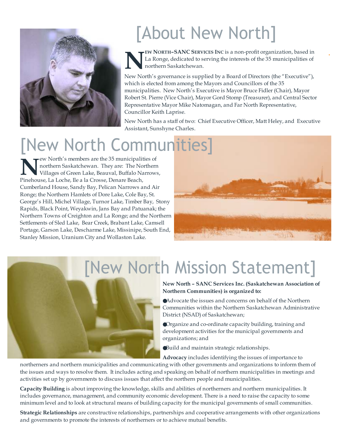

# [About New North]



**EW NORTH–SANC SERVICES INC** is a non-profit organization, based in La Ronge, dedicated to serving the interests of the 35 municipalities of northern Saskatchewan.

New North's governance is supplied by a Board of Directors (the "Executive"), which is elected from among the Mayors and Councillors of the 35 municipalities. New North's Executive is Mayor Bruce Fidler (Chair), Mayor Robert St. Pierre (Vice Chair), Mayor Gord Stomp (Treasurer), and Central Sector Representative Mayor Mike Natomagan, and Far North Representative, Councillor Keith Laprise.

New North has a staff of two: Chief Executive Officer, Matt Heley, and Executive Assistant, Sunshyne Charles.

# [New North Communities]

**NEARCTE AND SERVING IN THE AND MONET AND NOTE THE NO Villages of Green Lake, Beauval, Buffalo National Pinehouse, La Loche, Ile a la Crosse, Denare Beach,** ew North's members are the 35 municipalities of northern Saskatchewan. They are: The Northern Villages of Green Lake, Beauval, Buffalo Narrows, Cumberland House, Sandy Bay, Pelican Narrows and Air Ronge; the Northern Hamlets of Dore Lake, Cole Bay, St. George's Hill, Michel Village, Turnor Lake, Timber Bay, Stony Rapids, Black Point, Weyakwin, Jans Bay and Patuanak; the Northern Towns of Creighton and La Ronge; and the Northern Settlements of Sled Lake, Bear Creek, Brabant Lake, Camsell Portage, Garson Lake, Descharme Lake, Missinipe, South End, Stanley Mission, Uranium City and Wollaston Lake.



# [New North Mission Statement]

#### **New North – SANC Services Inc. (Saskatchewan Association of Northern Communities) is organized to:**

Advocate the issues and concerns on behalf of the Northern Communities within the Northern Saskatchewan Administrative District (NSAD) of Saskatchewan;

Organize and co-ordinate capacity building, training and development activities for the municipal governments and organizations; and

Build and maintain strategic relationships.

**Advocacy** includes identifying the issues of importance to

northerners and northern municipalities and communicating with other governments and organizations to inform them of the issues and ways to resolve them. It includes acting and speaking on behalf of northern municipalities in meetings and activities set up by governments to discuss issues that affect the northern people and municipalities.

**Capacity Building** is about improving the knowledge, skills and abilities of northerners and northern municipalities. It includes governance, management, and community economic development. There is a need to raise the capacity to some minimum level and to look at structural means of building capacity for the municipal governments of small communities.

**Strategic Relationships** are constructive relationships, partnerships and cooperative arrangements with other organizations and governments to promote the interests of northerners or to achieve mutual benefits.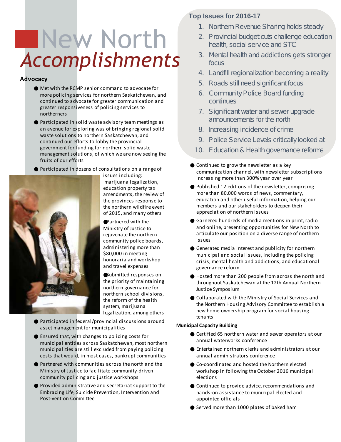# New North *Accomplishments*

#### **Advocacy**

Met with the RCMP senior command to advocate for more policing services for northern Saskatchewan, and continued to advocate for greater communication and greater responsiveness of policing services to northerners

Participated in solid waste advisory team meetings as an avenue for exploring was of bringing regional solid waste solutions to northern Saskatchewan, and continued our efforts to lobby the provincial government for funding for northern solid waste management solutions, of which we are now seeing the fruits of our efforts

Participated in dozens of consultations on a range of



issues including: marijuana legalization, education property tax amendments, the review of the provinces response to the northern wildfire event of 2015, and many others

Partnered with the Ministry of Justice to rejuvenate the northern community police boards, administering more than \$80,000 in meeting honoraria and workshop and travel expenses

Submitted responses on the priority of maintaining northern governance for northern school divisions, the reform of the health system, marijuana legalization, among others

Participated in federal/provincial discussions around asset management for municipalities

Ensured that, with changes to policing costs for municipal entities across Saskatchewan, most northern municipalities are still excluded from paying policing costs that would, in most cases, bankrupt communities

Partnered with communities across the north and the Ministry of Justice to facilitate community-driven community policing and justice workshops

Provided administrative and secretariat support to the Embracing Life, Suicide Prevention, Intervention and Post-vention Committee

#### **Top Issues for 2016-17**

- 1. Northern Revenue Sharing holds steady
- 2. Provincial budget cuts challenge education health, social service and STC
- 3. Mental health and addictions gets stronger focus
- 4. Landfill regionalization becoming a reality
- 5. Roads still need significant focus
- 6. Community Police Board funding continues
- 7. Significant water and sewer upgrade announcements for the north
- 8. Increasing incidence of crime
- 9. Police Service Levels critically looked at
- 10. Education & Health governance reforms

Continued to grow the newsletter as a key communication channel, with newsletter subscriptions increasing more than 300% year over year

Published 12 editions of the newsletter, comprising more than 80,000 words of news, commentary, education and other useful information, helping our members and our stakeholders to deepen their appreciation of northern issues

Garnered hundreds of media mentions in print, radio and online, presenting opportunities for New North to articulate our position on a diverse range of northern issues

Generated media interest and publicity for northern municipal and social issues, including the policing crisis, mental health and addictions, and educational governance reform

Hosted more than 200 people from across the north and throughout Saskatchewan at the 12th Annual Northern Justice Symposium

Collaborated with the Ministry of Social Services and the Northern Housing Advisory Committee to establish a new home-ownership program for social housing tenants

#### **Municipal Capacity Building**

Certified 65 northern water and sewer operators at our annual waterworks conference

Entertained northern clerks and administrators at our annual administrators conference

Co-coordinated and hosted the Northern elected workshop in following the October 2016 municipal elections

Continued to provide advice, recommendations and hands-on assistance to municipal elected and appointed officials

Served more than 1000 plates of baked ham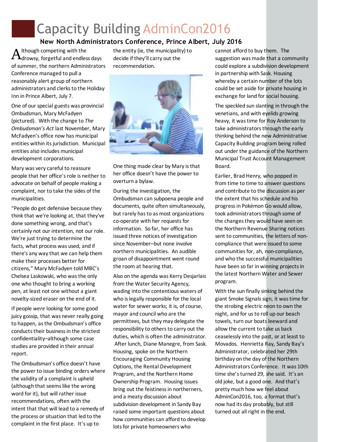## Capacity Building AdminCon2016

#### **New North Administrators Conference, Prince Albert, July 2016**

 ${\rm A}$ lthough competing with the<br> ${\rm A}$ drowsy, forgetful and endless days lthough competing with the of summer, the northern Administrators Conference managed to pull a reasonably alert group of northern administrators and clerks to the Holiday Inn in Prince Albert, July 7.

One of our special guests was provincial Ombudsman, Mary McFadyen (pictured). With the change to *The Ombudsman's Act* last November, Mary McFadyen's office now has municipal entities within its jurisdiction. Municipal entities also includes municipal development corporations.

Mary was very careful to reassure people that her office's role is neither to advocate on behalf of people making a complaint, nor to take the sides of the municipalities.

"People do get defensive because they think that we're looking at, that they've done something wrong, and that's certainly not our intention, not our role. We're just trying to determine the facts, what process was used, and if there's any way that we can help them make their processes better for citizens," Mary McFadyen told MBC's Chelsea Laskowski, who was the only one who thought to bring a working pen, at least not one without a giant novelty-sized eraser on the end of it.

If people *were* looking for some good juicy gossip, that was never really going to happen, as the Ombudsman's office conducts their business in the strictest confidentiality–although some case studies are provided in their annual report.

The Ombudsman's office doesn't have the power to issue binding orders where the validity of a complaint is upheld (although that seems like the wrong word for it), but will rather issue recommendations, often with the intent that that will lead to a remedy of the process or situation that led to the complaint in the first place. It's up to

the entity (ie, the municipality) to decide if they'll carry out the recommendation.



One thing made clear by Mary is that her office doesn't have the power to overturn a bylaw.

During the investigation, the Ombudsman can subpoena people and documents, quite often simultaneously, but rarely has to as most organizations co-operate with her requests for information. So far, her office has issued three notices of investigation since November–but none involve northern municipalities. An audible groan of disappointment went round the room at hearing that.

Also on the agenda was Kerry Desjarlais from the Water Security Agency, wading into the contentious waters of who is legally responsible for the local water for sewer works; it is, of course, mayor and council who are the permittees, but they may delegate the responsibility to others to carry out the duties, which is often the administrator. After lunch, Diane Manegre, from Sask. Housing, spoke on the Northern Encouraging Community Housing Options, the Rental Development Program, and the Northern Home Ownership Program. Housing issues bring out the feistiness in northerners, and a meaty discussion about subdivision development in Sandy Bay raised some important questions about how communities can afford to develop lots for private homeowners who

cannot afford to buy them. The suggestion was made that a community could explore a subdivision development in partnership with Sask. Housing whereby a certain number of the lots could be set aside for private housing in exchange for land for social housing.

The speckled sun slanting in through the venetians, and with eyelids growing heavy, it was time for Roy Anderson to take administrators through the early thinking behind the new Administrative Capacity Building program being rolled out under the guidance of the Northern Municipal Trust Account Management Board.

Earlier, Brad Henry, who popped in from time to time to answer questions and contribute to the discussion as per the extent that his schedule and his progress in Pokémon Go would allow, took administrators through some of the changes they would have seen on the Northern Revenue Sharing notices sent to communities, the letters of noncompliance that were issued to some communities for, ah, non-compliance, and who the successful municipalities have been so far in winning projects in the latest Northern Water and Sewer program.

With the sun finally sinking behind the giant Smoke Signals sign, it was time for the strobing electric neon to own the night, and for us to roll up our beach towels, turn our boats leeward and allow the current to take us back ceaselessly into the past, or at least to Movados. Henrietta Ray, Sandy Bay's Administrator, celebrated her 29th birthday on the day of the Northern Administrators Conference. It was 10th time she's turned 29, she said. It's an old joke, but a good one. And that's pretty much how we feel about AdminCon2016, too, a format that's now had its day probably, but still turned out all right in the end.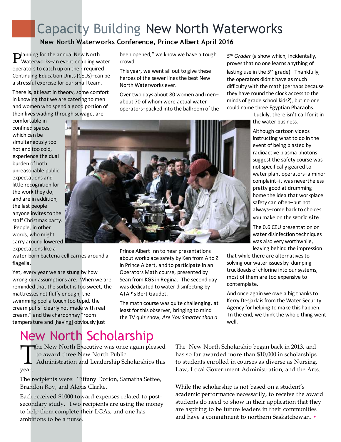## Capacity Building New North Waterworks

**New North Waterworks Conference, Prince Albert April 2016**

**P** anning for the annual New North<br>Waterworks–an event enabling w Waterworks–an event enabling water operators to catch up on their required Continuing Education Units (CEUs)–can be a stressful exercise for our small team.

There is, at least in theory, some comfort in knowing that we are catering to men and women who spend a good portion of their lives wading through sewage, are

comfortable in confined spaces which can be simultaneously too hot and too cold, experience the dual burden of both unreasonable public expectations and little recognition for the work they do, and are in addition, the last people anyone invites to the staff Christmas party. People, in other words, who might carry around lowered expectations like a

water-born bacteria cell carries around a flagella.

Yet, every year we are stung by how wrong our assumptions are. When we are reminded that the sorbet is too sweet, the mattresses not fluffy enough, the swimming pool a touch too tepid, the cream puffs "clearly not made with real cream," and the chardonnay "room temperature and [having] obviously just

been opened," we know we have a tough crowd.

This year, we went all out to give these heroes of the sewer lines the best New North Waterworks ever.

Over two days about 80 women and men– about 70 of whom were actual water operators–packed into the ballroom of the

*5 th Grader* (a show which, incidentally, proves that no one learns anything of

lasting use in the 5<sup>th</sup> grade). Thankfully, the operators didn't have as much difficulty with the math (perhaps because they have round the clock access to the minds of grade school kids?), but no one could name three Egyptian Pharaohs.

> Luckily, there isn't call for it in the water business.

Although cartoon videos instructing what to do in the event of being blasted by radioactive plasma photons suggest the safety course was not specifically geared to water plant operators–a minor complaint–it was nevertheless pretty good at drumming home the idea that workplace safety can often–but not always–come back to choices you make on the work site.

The 0.6 CEU presentation on water disinfection techniques was also very worthwhile, leaving behind the impression

that while there are alternatives to solving our water issues by dumping truckloads of chlorine into our systems, most of them are too expensive to contemplate.

And once again we owe a big thanks to Kerry Desjarlais from the Water Security Agency for helping to make this happen. In the end, we think the whole thing went well.

## New North Scholarship

 $\prod_{\text{year}}$ **he New North Executive was once again pleased** to award three New North Public Administration and Leadership Scholarships this year.

The recipients were: Tiffany Dorion, Samatha Settee, Brandon Roy, and Alexis Clarke.

Each received \$1000 toward expenses related to postsecondary study. Two recipients are using the money to help them complete their LGAs, and one has ambitions to be a nurse.

The New North Scholarship began back in 2013, and has so far awarded more than \$10,000 in scholarships to students enrolled in courses as diverse as Nursing, Law, Local Government Administration, and the Arts.

While the scholarship is not based on a student's academic performance necessarily, to receive the award students do need to show in their application that they are aspiring to be future leaders in their communities and have a commitment to northern Saskatchewan. •



Prince Albert Inn to hear presentations about workplace safety by Ken from A to Z in Prince Albert, and to participate in an Operators Math course, presented by Sean from KGS in Regina. The second day was dedicated to water disinfecting by ATAP's Bert Gaudet.

The math course was quite challenging, at least for this observer, bringing to mind the TV quiz show, *Are You Smarter than a*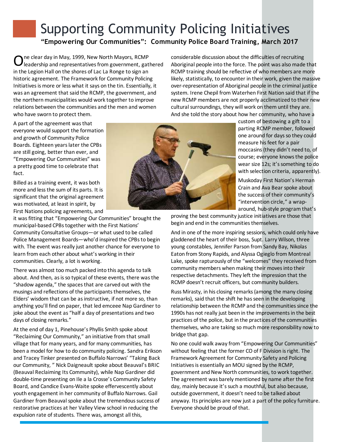## Supporting Community Policing Initiatives **"Empowering Our Communities": Community Police Board Training, March 2017**

O ne clear day in May, 1999, New North Mayors, RCMP leadership and representatives from government, gathered in the Legion Hall on the shores of Lac La Ronge to sign an historic agreement. The Framework for Community Policing Initiatives is more or less what it says on the tin. Essentially, it was an agreement that said the RCMP, the government, and the northern municipalities would work together to improve relations between the communities and the men and women who have sworn to protect them.

considerable discussion about the difficulties of recruiting Aboriginal people into the force. The point was also made that RCMP training should be reflective of who members are more likely, statistically, to encounter in their work, given the massive over-representation of Aboriginal people in the criminal justice system. Irene Chepil from Waterhen First Nation said that if the new RCMP members are not properly acclimatized to their new cultural surroundings, they will work on them until they are. And she told the story about how her community, who have a

A part of the agreement was that everyone would support the formation and growth of Community Police Boards. Eighteen years later the CPBs are still going, better than ever, and "Empowering Our Communities" was a pretty good time to celebrate that fact.

Billed as a training event, it was both more and less the sum of its parts. It is significant that the original agreement was motivated, at least in spirit, by First Nations policing agreements, and

it was fitting that "Empowering Our Communities" brought the municipal-based CPBs together with the First Nations' Community Consultative Groups—or what used to be called Police Management Boards—who'd inspired the CPBs to begin with. The event was really just another chance for everyone to learn from each other about what's working in their communities. Clearly, a lot is working.

There was almost too much packed into this agenda to talk about. And then, as is so typical of these events, there was the "shadow agenda," the spaces that are carved out with the musings and reflections of the participants themselves, the Elders' wisdom that can be as instructive, if not more so, than anything you'll find on paper, that led emceee Nap Gardiner to joke about the event as "half a day of presentations and two days of closing remarks."

At the end of day 1, Pinehouse's Phyllis Smith spoke about "Reclaiming Our Community," an initiative from that small village that for many years, and for many communities, has been a model for how to do community policing. Sandra Erikson and Tracey Tinker presented on Buffalo Narrows' "Taking Back our Community, " Nick Daigneault spoke about Beauval's BRIC (Beauval Reclaiming Its Community), while Nap Gardiner did double-time presenting on Ile a la Crosse's Community Safety Board, and Candice Evans-Waite spoke effervescently about youth engagement in her community of Buffalo Narrows. Gail Gardiner from Beauval spoke about the tremendous success of restorative practices at her Valley View school in reducing the expulsion rate of students. There was, amongst all this,



custom of bestowing a gift to a parting RCMP member, followed one around for days so they could measure his feet for a pair moccasins (they didn't need to, of course; everyone knows the police wear size 12s; it's something to do with selection criteria, apparently).

Muskoday First Nation's Herman Crain and Ava Bear spoke about the success of their community's "intervention circle," a wraparound, hub-style program that's

proving the best community justice initiatives are those that begin and end in the communities themselves.

And in one of the more inspiring sessions, which could only have gladdened the heart of their boss, Supt. Larry Wilson, three young constables, Jennifer Parson from Sandy Bay, Nikolas Eaton from Stony Rapids, and Alyssa Ogieglo from Montreal Lake, spoke rapturously of the "welcomes" they received from community members when making their moves into their respective detachments. They left the impression that the RCMP doesn't recruit officers, but community builders.

Russ Mirasty, in his closing remarks (among the many closing remarks), said that the shift he has seen in the developing relationship between the RCMP and the communities since the 1990s has not really just been in the improvements in the best practices of the police, but in the practices of the communities themselves, who are taking so much more responsibility now to bridge that gap.

No one could walk away from "Empowering Our Communities" without feeling that the former CO of F Division is right. The Framework Agreement for Community Safety and Policing Initiatives is essentially an MOU signed by the RCMP, government and New North communities, to work together. The agreement was barely mentioned by name after the first day, mainly because it's such a mouthful, but also because, outside government, it doesn't need to be talked about anyway. Its principles are now just a part of the policy furniture. Everyone should be proud of that.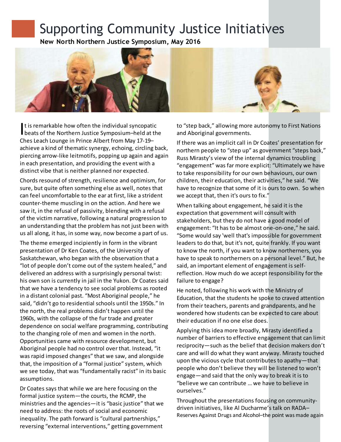## Supporting Community Justice Initiatives

**New North Northern Justice Symposium, May 2016**



It is remarkable how often the individual syncopatic<br>beats of the Northern Justice Symposium–held at the t is remarkable how often the individual syncopatic Ches Leach Lounge in Prince Albert from May 17-19– achieve a kind of thematic synergy, echoing, circling back, piercing arrow-like leitmotifs, popping up again and again in each presentation, and providing the event with a distinct vibe that is neither planned nor expected.

Chords resound of strength, resilience and optimism, for sure, but quite often something else as well, notes that can feel uncomfortable to the ear at first, like a strident counter-theme muscling in on the action. And here we saw it, in the refusal of passivity, blending with a refusal of the victim narrative, following a natural progression to an understanding that the problem has not just been with us all along, it has, in some way, now become a part of us.

The theme emerged incipiently in form in the vibrant presentation of Dr Ken Coates, of the University of Saskatchewan, who began with the observation that a "lot of people don't come out of the system healed," and delivered an address with a surprisingly personal twist: his own son is currently in jail in the Yukon. Dr Coates said that we have a tendency to see social problems as rooted in a distant colonial past. "Most Aboriginal people," he said, "didn't go to residential schools until the 1950s." In the north, the real problems didn't happen until the 1960s, with the collapse of the fur trade and greater dependence on social welfare programming, contributing to the changing role of men and women in the north. Opportunities came with resource development, but Aboriginal people had no control over that. Instead, "it was rapid imposed changes" that we saw, and alongside that, the imposition of a "formal justice" system, which we see today, that was "fundamentally racist" in its basic assumptions.

Dr Coates says that while we are here focusing on the formal justice system—the courts, the RCMP, the ministries and the agencies—it is "basic justice" that we need to address: the roots of social and economic inequality. The path forward is "cultural partnerships," reversing "external interventions," getting government

to "step back," allowing more autonomy to First Nations and Aboriginal governments.

If there was an implicit call in Dr Coates' presentation for northern people to "step up" as government "steps back," Russ Mirasty's view of the internal dynamics troubling "engagement" was far more explicit: "Ultimately we have to take responsibility for our own behaviours, our own children, their education, their activities," he said. "We have to recognize that some of it is ours to own. So when we accept that, then it's ours to fix."

When talking about engagement, he said it is the expectation that government will consult with stakeholders, but they do not have a good model of engagement: "It has to be almost one-on-one," he said. "Some would say 'well that's impossible for government leaders to do that, but it's not, quite frankly. If you want to know the north, if you want to know northerners, you have to speak to northerners on a personal level." But, he said, an important element of engagement is selfreflection. How much do we accept responsibility for the failure to engage?

He noted, following his work with the Ministry of Education, that the students he spoke to craved attention from their teachers, parents and grandparents, and he wondered how students can be expected to care about their education if no one else does.

Applying this idea more broadly, Mirasty identified a number of barriers to effective engagement that can limit reciprocity—such as the belief that decision makers don't care and will do what they want anyway. Mirasty touched upon the vicious cycle that contributes to apathy—that people who don't believe they will be listened to won't engage—and said that the only way to break it is to "believe we can contribute … we have to believe in ourselves."

Throughout the presentations focusing on communitydriven initiatives, like Al Ducharme's talk on RADA– Reserves Against Drugs and Alcohol–the point was made again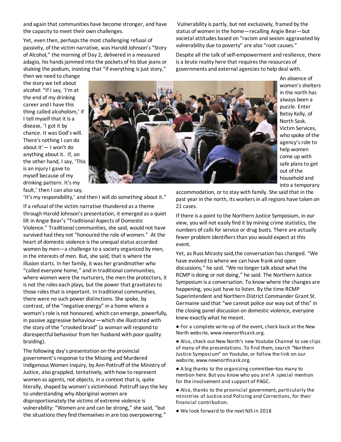and again that communities have become stronger, and have the capacity to meet their own challenges.

Yet, even then, perhaps the most challenging refusal of passivity, of the victim narrative, was Harold Johnson's "Story of Alcohol," the morning of Day 2, delivered in a measured adagio, his hands jammed into the pockets of his blue jeans or shaking the podium, insisting that "if everything is just story,"

 Vulnerability is partly, but not exclusively, framed by the status of women in the home—recalling Angie Bear—but societal attitudes based on "racism and sexism aggravated by vulnerability due to poverty" are also "root causes."

Despite all the talk of self-empowerment and resilience, there is a brute reality here that requires the resources of governments and external agencies to help deal with.

then we need to change the story we tell about alcohol: "If I say, 'I'm at the end of my drinking career and I have this thing called alcoholism,' if I tell myself that it is a disease, 'I got it by chance. It was God's will. There's nothing I can do about it'— I won't do anything about it. If, on the other hand, I say, 'This is an injury I gave to myself because of my drinking pattern. It's my fault,' then I can also say,



An absence of women's shelters in the north has always been a puzzle. Enter Betsy Kelly, of North Sask. Victim Services, who spoke of the agency's role to help women come up with safe plans to get out of the household and into a temporary

'It's my responsibility,' and then I will do something about it."

If a refusal of the victim narrative thundered as a theme through Harold Johnson's presentation, it emerged as a quiet lilt in Angie Bear's "Traditional Aspects of Domestic Violence." Traditional communities, she said, would not have survived had they not "honoured the role of women." At the heart of domestic violence is the unequal status accorded women by men—a challenge to a society organized by men, in the interests of men. But, she said, that is where the illusion starts. In her family, it was her grandmother who "called everyone home," and in traditional communities, where women were the nurturers, the men the protectors, it is not the roles each plays, but the power that gravitates to those roles that is important. In traditional communities, there were no such power distinctions. She spoke, by contrast, of the "negative energy" in a home where a woman's role is not honoured, which can emerge, powerfully, in passive aggressive behaviour—which she illustrated with the story of the "crooked braid" (a woman will respond to disrespectful behaviour from her husband with poor quality braiding).

The following day's presentation on the provincial government's response to the Missing and Murdered Indigenous Women Inquiry, by Ann Pottruff of the Ministry of Justice, also grappled, tentatively, with how to represent women as agents, not objects, in a context that is, quite literally, shaped by women's victimhood. Pottruff says the key to understanding why Aboriginal women are disproportionately the victims of extreme violence is vulnerability: "Women are and can be strong," she said, "but the situations they find themselves in are too overpowering."

accommodation, or to stay with family. She said that in the past year in the north, its workers in all regions have taken on 21 cases.

If there is a point to the Northern Justice Symposium, in our view, you will not easily find it by mining crime statistics, the numbers of calls for service or drug busts. There are actually fewer problem identifiers than you would expect at this event.

Yet, as Russ Mirasty said,the conversation has changed. "We have evolved to where we can have frank and open discussions," he said. "We no longer talk about what the RCMP is doing or not doing," he said. The Northern Justice Symposium is a conversation. To know where the changes are happening, you just have to listen. By the time RCMP Superintendent and Northern District Commander Grant St. Germaine said that "we cannot police our way out of this" in the closing panel discussion on domestic violence, everyone knew exactly what he meant.

● For a complete write-up of the event, check back at the New North website, www.newnorthsask.org.

● Also, check out New North's new Youtube Channel to see clips of many of the presentations. To find them, search "Northern Justice Symposium" on Youtube, or follow the link on our website, www.newnorthsask.org.

● A big thanks to the organizing committee–too many to mention here. But you know who you are! A special mention for the involvement and support of PAGC.

● Also, thanks to the provincial government, particularly the ministries of Justice and Policing and Corrections, for their financial contribution.

● We look forward to the next NJS in 2018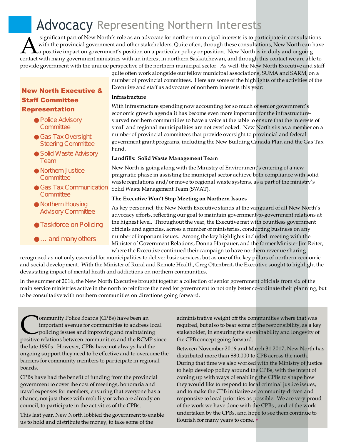## Advocacy Representing Northern Interests

Significant part of New North's role as an advocate for northern municipal interests is to participate in consultations<br>with the provincial government and other stakeholders. Quite often, through these consultations, New N significant part of New North's role as an advocate for northern municipal interests is to participate in consultations with the provincial government and other stakeholders. Quite often, through these consultations, New North can have a positive impact on government's position on a particular policy or position. New North is in daily and ongoing provide government with the unique perspective of the northern municipal sector. As well, the New North Executive and staff

#### **New North Executive & Staff Committee Representation**

Police Advisory **Committee** 

Gas Tax Oversight Steering Committee

Solid Waste Advisory Team

Northern Justice **Committee** 

Gas Tax Communication **Committee** 

Northern Housing Advisory Committee

Taskforce on Policing

… and many others

quite often work alongside our fellow municipal associations, SUMA and SARM, on a number of provincial committees. Here are some of the highlights of the activities of the Executive and staff as advocates of northern interests this year:

#### **Infrastructure**

With infrastructure spending now accounting for so much of senior government's economic growth agenda it has become even more important for the infrastructurestarved northern communities to have a voice at the table to ensure that the interests of small and regional municipalities are not overlooked. New North sits as a member on a number of provincial committees that provide oversight to provincial and federal government grant programs, including the New Building Canada Plan and the Gas Tax Fund.

#### **Landfills: Solid Waste Management Team**

New North is going along with the Ministry of Environment's entering of a new pragmatic phase in assisting the municipal sector achieve both compliance with solid waste regulations and/or move to regional waste systems, as a part of the ministry's Solid Waste Management Team (SWAT).

#### **The Executive Won't Stop Meeting on Northern Issues**

As key personnel, the New North Executive stands at the vanguard of all New North's advocacy efforts, reflecting our goal to maintain government-to-government relations at the highest level. Throughout the year, the Executive met with countless government officials and agencies, across a number of ministeries, conducting business on any number of important issues. Among the key highlights included meeting with the Minister of Government Relations, Donna Harpauer, and the former Minister Jim Reiter, where the Executive continued their campaign to have northern revenue sharing

recognized as not only essential for municipalities to deliver basic services, but as one of the key pillars of northern economic and social development. With the Minister of Rural and Remote Health, Greg Ottenbreit, the Executive sought to highlight the devastating impact of mental heath and addictions on northern communities.

In the summer of 2016, the New North Executive brought together a collection of senior government officials from six of the main service ministries active in the north to reinforce the need for government to not only better co-ordinate their planning, but to be consultative with northern communities on directions going forward.

**COMMUNITY Police Boards (CPBs) have been an**<br>important avenue for communities to address local<br>policing issues and improving and maintaining<br>positive relations between communities and the RCMP since ommunity Police Boards (CPBs) have been an important avenue for communities to address local policing issues and improving and maintaining the late 1990s. However, CPBs have not always had the ongoing support they need to be effective and to overcome the barriers for community members to participate in regional boards.

CPBs have had the benefit of funding from the provincial government to cover the cost of meetings, honoraria and travel expenses for members, ensuring that everyone has a chance, not just those with mobility or who are already on council, to participate in the activities of the CPBs.

This last year, New North lobbied the government to enable us to hold and distribute the money, to take some of the

administrative weight off the communities where that was required, but also to bear some of the responsibility, as a key stakeholder, in ensuring the sustainability and longevity of the CPB concept going forward.

Between November 2016 and March 31 2017, New North has distributed more than \$80,000 to CPB across the north. During that time we also worked with the Ministry of Justice to help develop policy around the CPBs, with the intent of coming up with ways of enabling the CPBs to shape how they would like to respond to local criminal justice issues, and to make the CPB initiative as community-driven and responsive to local priorities as possible. We are very proud of the work we have done with the CPBs , and of the work undertaken by the CPBs, and hope to see them continue to flourish for many years to come. •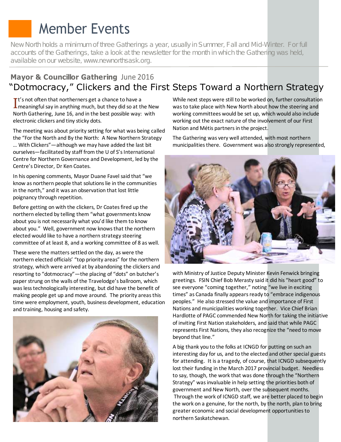## Member Events

New North holds a minimum of three Gatherings a year, usually in Summer, Fall and Mid-Winter. For full accounts of the Gatherings, take a look at the newsletter for the month in which the Gathering was held, available on our website, www.newnorthsask.org.

#### **Mayor & Councillor Gathering** June 2016 "Dotmocracy," Clickers and the First Steps Toward a Northern Strategy

 $\mathbf{I}^{\text{t's}}$  not often that northerners get a chance to have a<br>Imeaningful say in anything much, but they did so at the New  $\mathbf{T}$ t's not often that northerners get a chance to have a North Gathering, June 16, and in the best possible way: with electronic clickers and tiny sticky dots.

The meeting was about priority setting for what was being called the "For the North and By the North: A New Northern Strategy … With Clickers"—although we may have added the last bit ourselves—facilitated by staff from the U of S's International Centre for Northern Governance and Development, led by the Centre's Director, Dr Ken Coates.

In his opening comments, Mayor Duane Favel said that "we know as northern people that solutions lie in the communities in the north," and it was an observation that lost little poignancy through repetition.

Before getting on with the clickers, Dr Coates fired up the northern elected by telling them "what governments know about you is not necessarily what you'd like them to know about you." Well, government now knows that the northern elected would like to have a northern strategy steering committee of at least 8, and a working committee of 8 as well.

These were the matters settled on the day, as were the northern elected officials' "top priority areas" for the northern strategy, which were arrived at by abandoning the clickers and resorting to "dotmocracy"—the placing of "dots" on butcher's paper strung on the walls of the Travelodge's ballroom, which was less technologically interesting, but did have the benefit of making people get up and move around. The priority areas this time were employment, youth, business development, education and training, housing and safety.



While next steps were still to be worked on, further consultation was to take place with New North about how the steering and working committees would be set up, which would also include working out the exact nature of the involvement of our First Nation and Métis partners in the project.

The Gathering was very well attended, with most northern municipalities there. Government was also strongly represented,



with Ministry of Justice Deputy Minister Kevin Fenwick bringing greetings. FSIN Chief Bob Merasty said it did his "heart good" to see everyone "coming together," noting "we live in exciting times" as Canada finally appears ready to "embrace indigenous peoples." He also stressed the value and importance of First Nations and municipalities working together. Vice Chief Brian Hardlotte of PAGC commended New North for taking the initiative of inviting First Nation stakeholders, and said that while PAGC represents First Nations, they also recognize the "need to move beyond that line."

A big thank you to the folks at ICNGD for putting on such an interesting day for us, and to the elected and other special guests for attending. It is a tragedy, of course, that ICNGD subsequently lost their funding in the March 2017 provincial budget. Needless to say, though, the work that was done through the "Northern Strategy" was invaluable in help setting the priorities both of government and New North, over the subsequent months. Through the work of ICNGD staff, we are better placed to begin the work on a genuine, for the north, by the north, plan to bring greater economic and social development opportunities to northern Saskatchewan.